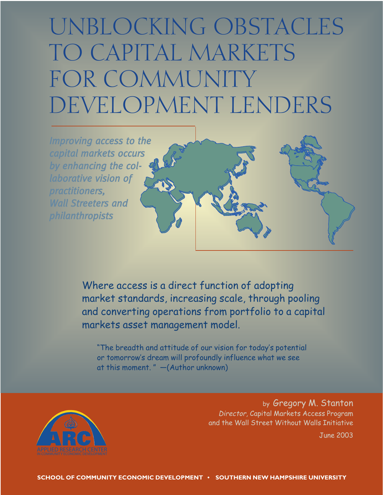# UNBLOCKING OBSTACLES TO CAPITAL MARKETS FOR COMMUNITY DEVELOPMENT LENDERS



Where access is a direct function of adopting market standards, increasing scale, through pooling and converting operations from portfolio to a capital markets asset management model.

"The breadth and attitude of our vision for today's potential or tomorrow's dream will profoundly influence what we see at this moment. " —(Author unknown)



by Gregory M. Stanton Director, Capital Markets Access Program and the Wall Street Without Walls Initiative

June 2003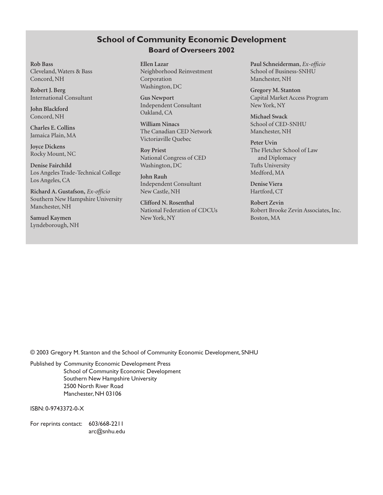# **School of Community Economic Development Board of Overseers 2002**

**Rob Bass** Cleveland, Waters & Bass Concord, NH

**Robert J. Berg** International Consultant

**John Blackford** Concord, NH

**Charles E. Collins** Jamaica Plain, MA

**Joyce Dickens** Rocky Mount, NC

**Denise Fairchild** Los Angeles Trade-Technical College Los Angeles, CA

**Richard A. Gustafson,** *Ex-officio* Southern New Hampshire University Manchester, NH

**Samuel Kaymen** Lyndeborough, NH **Ellen Lazar** Neighborhood Reinvestment Corporation Washington, DC

**Gus Newport** Independent Consultant Oakland, CA

**William Ninacs** The Canadian CED Network Victoriaville Quebec

**Roy Priest** National Congress of CED Washington, DC

**John Rauh** Independent Consultant New Castle, NH

**Clifford N. Rosenthal** National Federation of CDCUs New York, NY

**Paul Schneiderman**, *Ex-officio* School of Business-SNHU Manchester, NH

**Gregory M. Stanton** Capital Market Access Program New York, NY

**Michael Swack** School of CED-SNHU Manchester, NH

**Peter Uvin** The Fletcher School of Law and Diplomacy Tufts University Medford, MA

**Denise Viera** Hartford, CT

**Robert Zevin** Robert Brooke Zevin Associates, Inc. Boston, MA

© 2003 Gregory M. Stanton and the School of Community Economic Development, SNHU

Published by Community Economic Development Press School of Community Economic Development Southern New Hampshire University 2500 North River Road Manchester, NH 03106

ISBN: 0-9743372-0-X

For reprints contact: 603/668-2211 arc@snhu.edu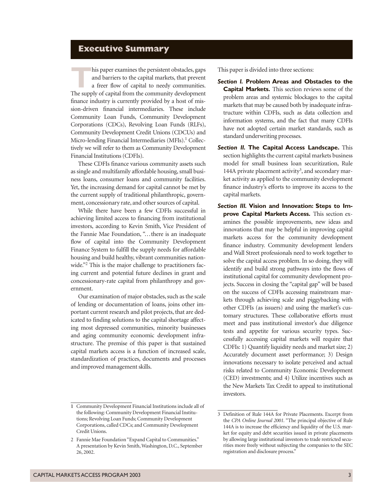# **Executive Summary**

This paper examines the persistent obstacles, gaps<br>and barriers to the capital markets, that prevent<br>a freer flow of capital to needy communities.<br>The supply of capital from the community development and barriers to the capital markets, that prevent a freer flow of capital to needy communities. finance industry is currently provided by a host of mission-driven financial intermediaries. These include Community Loan Funds, Community Development Corporations (CDCs), Revolving Loan Funds (RLFs), Community Development Credit Unions (CDCUs) and Micro-lending Financial Intermediaries (MFIs).<sup>1</sup> Collectively we will refer to them as Community Development Financial Institutions (CDFIs).

These CDFIs finance various community assets such as single and multifamily affordable housing, small business loans, consumer loans and community facilities. Yet, the increasing demand for capital cannot be met by the current supply of traditional philanthropic, government, concessionary rate, and other sources of capital.

While there have been a few CDFIs successful in achieving limited access to financing from institutional investors, according to Kevin Smith, Vice President of the Fannie Mae Foundation, "...there is an inadequate flow of capital into the Community Development Finance System to fulfill the supply needs for affordable housing and build healthy, vibrant communities nationwide."<sup>2</sup> This is the major challenge to practitioners facing current and potential future declines in grant and concessionary-rate capital from philanthropy and government.

Our examination of major obstacles, such as the scale of lending or documentation of loans, joins other important current research and pilot projects, that are dedicated to finding solutions to the capital shortage affecting most depressed communities, minority businesses and aging community economic development infrastructure. The premise of this paper is that sustained capital markets access is a function of increased scale, standardization of practices, documents and processes and improved management skills.

This paper is divided into three sections:

- *Section I.* **Problem Areas and Obstacles to the Capital Markets.** This section reviews some of the problem areas and systemic blockages to the capital markets that may be caused both by inadequate infrastructure within CDFIs, such as data collection and information systems, and the fact that many CDFIs have not adopted certain market standards, such as standard underwriting processes.
- *Section II.* **The Capital Access Landscape.** This section highlights the current capital markets business model for small business loan securitization, Rule 144A private placement activity<sup>3</sup>, and secondary market activity as applied to the community development finance industry's efforts to improve its access to the capital markets.
- *Section III.* **Vision and Innovation: Steps to Improve Capital Markets Access.** This section examines the possible improvements, new ideas and innovations that may be helpful in improving capital markets access for the community development finance industry. Community development lenders and Wall Street professionals need to work together to solve the capital access problem. In so doing, they will identify and build strong pathways into the flows of institutional capital for community development projects. Success in closing the "capital gap" will be based on the success of CDFIs accessing mainstream markets through achieving scale and piggybacking with other CDFIs (as issuers) and using the market's customary structures. These collaborative efforts must meet and pass institutional investor's due diligence tests and appetite for various security types. Successfully accessing capital markets will require that CDFIs: 1) Quantify liquidity needs and market size; 2) Accurately document asset performance; 3) Design innovations necessary to isolate perceived and actual risks related to Community Economic Development (CED) investments; and 4) Utilize incentives such as the New Markets Tax Credit to appeal to institutional investors.

**<sup>1</sup>** Community Development Financial Institutions include all of the following: Community Development Financial Institutions; Revolving Loan Funds; Community Development Corporations, called CDCs; and Community Development Credit Unions.

<sup>2</sup> Fannie Mae Foundation "Expand Capital to Communities." A presentation by Kevin Smith, Washington, D.C., September 26, 2002.

<sup>3</sup> Definition of Rule 144A for Private Placements. Excerpt from the *CPA Online Journal 2001.* "The principal objective of Rule 144A is to increase the efficiency and liquidity of the U.S. market for equity and debt securities issued in private placements by allowing large institutional investors to trade restricted securities more freely without subjecting the companies to the SEC registration and disclosure process."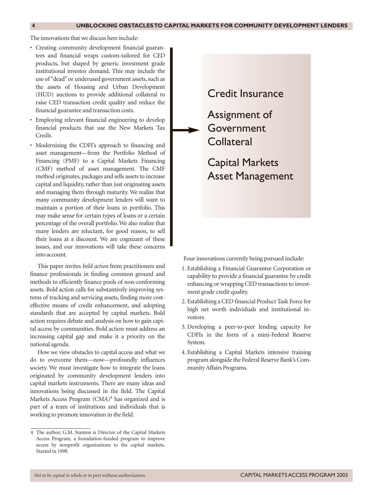The innovations that we discuss here include:

- Creating community development financial guarantees and financial wraps custom-tailored for CED products, but shaped by generic investment grade institutional investor demand. This may include the use of "dead" or underused government assets, such as the assets of Housing and Urban Development (HUD) auctions to provide additional collateral to raise CED transaction credit quality and reduce the financial guarantee and transaction costs.
- Employing relevant financial engineering to develop financial products that use the New Markets Tax Credit.
- Modernizing the CDFI's approach to financing and asset management—from the Portfolio Method of Financing (PMF) to a Capital Markets Financing (CMF) method of asset management. The CMF method originates, packages and sells assets to increase capital and liquidity, rather than just originating assets and managing them through maturity. We realize that many community development lenders will want to maintain a portion of their loans in portfolio. This may make sense for certain types of loans or a certain percentage of the overall portfolio. We also realize that many lenders are reluctant, for good reason, to sell their loans at a discount. We are cognizant of these issues, and our innovations will take these concerns into account.

This paper invites *bold action* from practitioners and finance professionals in finding common ground and methods to efficiently finance pools of non-conforming assets. Bold action calls for substantively improving systems of tracking and servicing assets, finding more costeffective means of credit enhancement, and adopting standards that are accepted by capital markets. Bold action requires debate and analysis on how to gain capital access by communities. Bold action must address an increasing capital gap and make it a priority on the national agenda.

How we view obstacles to capital access and what we do to overcome them—now—profoundly influences society. We must investigate how to integrate the loans originated by community development lenders into capital markets instruments. There are many ideas and innovations being discussed in the field. The Capital Markets Access Program  $(CMA)^4$  has organized and is part of a team of institutions and individuals that is working to promote innovation in the field.

Credit Insurance

Assignment of Government **Collateral** 

Capital Markets Asset Management

Four innovations currently being pursued include:

- 1. Establishing a Financial Guarantee Corporation or capability to provide a financial guarantee by credit enhancing or wrapping CED transactions to investment grade credit quality.
- 2. Establishing a CED financial Product Task Force for high net worth individuals and institutional investors.
- 3. Developing a peer-to-peer lending capacity for CDFIs in the form of a mini-Federal Reserve System.
- 4. Establishing a Capital Markets intensive training program alongside the Federal Reserve Bank's Community Affairs Programs.

<sup>4</sup> The author, G.M. Stanton is Director of the Capital Markets Access Program, a foundation-funded program to improve access by nonprofit organizations to the capital markets. Started in 1998.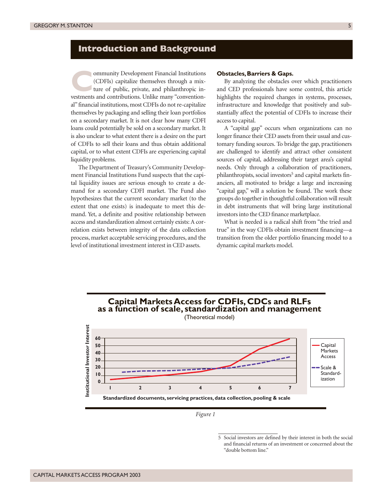# **Introduction and Background**

**COLUTE COMPUTE:** CODETA) capitalize themselves through a mix-<br>ture of public, private, and philanthropic in-<br>vestments and contributions. Unlike many "convention-(CDFIs) capitalize themselves through a mixture of public, private, and philanthropic investments and contributions. Unlike many "conventional" financial institutions, most CDFIs do not re-capitalize themselves by packaging and selling their loan portfolios on a secondary market. It is not clear how many CDFI loans could potentially be sold on a secondary market. It is also unclear to what extent there is a desire on the part of CDFIs to sell their loans and thus obtain additional capital, or to what extent CDFIs are experiencing capital liquidity problems.

The Department of Treasury's Community Development Financial Institutions Fund suspects that the capital liquidity issues are serious enough to create a demand for a secondary CDFI market. The Fund also hypothesizes that the current secondary market (to the extent that one exists) is inadequate to meet this demand. Yet, a definite and positive relationship between access and standardization almost certainly exists: A correlation exists between integrity of the data collection process, market acceptable servicing procedures, and the level of institutional investment interest in CED assets.

#### **Obstacles, Barriers & Gaps.**

By analyzing the obstacles over which practitioners and CED professionals have some control, this article highlights the required changes in systems, processes, infrastructure and knowledge that positively and substantially affect the potential of CDFIs to increase their access to capital.

A "capital gap" occurs when organizations can no longer finance their CED assets from their usual and customary funding sources. To bridge the gap, practitioners are challenged to identify and attract other consistent sources of capital, addressing their target area's capital needs. Only through a collaboration of practitioners, philanthropists, social investors<sup>5</sup> and capital markets financiers, all motivated to bridge a large and increasing "capital gap," will a solution be found. The work these groups do together in thoughtful collaboration will result in debt instruments that will bring large institutional investors into the CED finance marketplace.

What is needed is a radical shift from "the tried and true" in the way CDFIs obtain investment financing—a transition from the older portfolio financing model to a dynamic capital markets model.

# **Capital Markets Access for CDFIs, CDCs and RLFs as a function of scale, standardization and management** (Theoretical model)



*Figure 1*

<sup>5</sup> Social investors are defined by their interest in both the social and financial returns of an investment or concerned about the "double bottom line."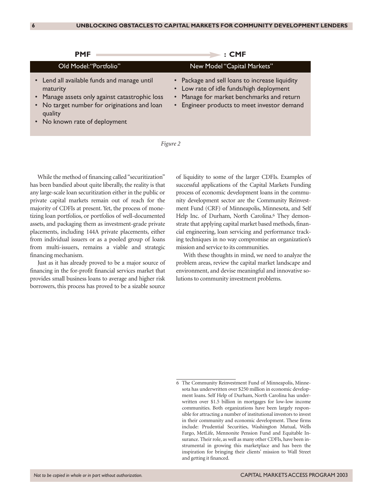| <b>PMF</b>                                                                                                                                                                                            | : CME                                                                                                                                                                                  |
|-------------------------------------------------------------------------------------------------------------------------------------------------------------------------------------------------------|----------------------------------------------------------------------------------------------------------------------------------------------------------------------------------------|
| Old Model: "Portfolio"                                                                                                                                                                                | New Model "Capital Markets"                                                                                                                                                            |
| • Lend all available funds and manage until<br>maturity<br>• Manage assets only against catastrophic loss<br>• No target number for originations and loan<br>quality<br>• No known rate of deployment | • Package and sell loans to increase liquidity<br>• Low rate of idle funds/high deployment<br>• Manage for market benchmarks and return<br>• Engineer products to meet investor demand |



While the method of financing called "securitization" has been bandied about quite liberally, the reality is that any large-scale loan securitization either in the public or private capital markets remain out of reach for the majority of CDFIs at present. Yet, the process of monetizing loan portfolios, or portfolios of well-documented assets, and packaging them as investment-grade private placements, including 144A private placements, either from individual issuers or as a pooled group of loans from multi-issuers, remains a viable and strategic financing mechanism.

Just as it has already proved to be a major source of financing in the for-profit financial services market that provides small business loans to average and higher risk borrowers, this process has proved to be a sizable source

of liquidity to some of the larger CDFIs. Examples of successful applications of the Capital Markets Funding process of economic development loans in the community development sector are the Community Reinvestment Fund (CRF) of Minneapolis, Minnesota, and Self Help Inc. of Durham, North Carolina.<sup>6</sup> They demonstrate that applying capital market based methods, financial engineering, loan servicing and performance tracking techniques in no way compromise an organization's mission and service to its communities.

With these thoughts in mind, we need to analyze the problem areas, review the capital market landscape and environment, and devise meaningful and innovative solutions to community investment problems.

<sup>6</sup> The Community Reinvestment Fund of Minneapolis, Minnesota has underwritten over \$250 million in economic development loans. Self Help of Durham, North Carolina has underwritten over \$1.5 billion in mortgages for low-low income communities. Both organizations have been largely responsible for attracting a number of institutional investors to invest in their community and economic development. These firms include: Prudential Securities, Washington Mutual, Wells Fargo, MetLife, Mennonite Pension Fund and Equitable Insurance. Their role, as well as many other CDFIs, have been instrumental in growing this marketplace and has been the inspiration for bringing their clients' mission to Wall Street and getting it financed.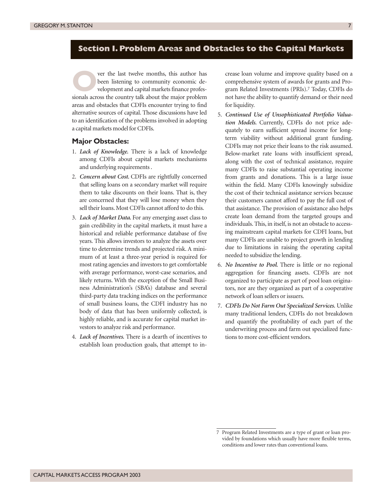# **Section I. Problem Areas and Obstacles to the Capital Markets**

ver the last twelve months, this author has been listening to community economic development and capital markets finance professionals across the country talk about the major problem areas and obstacles that CDFIs encounter trying to find alternative sources of capital. Those discussions have led to an identification of the problems involved in adopting a capital markets model for CDFIs.

#### **Major Obstacles:**

- 1. *Lack of Knowledge.* There is a lack of knowledge among CDFIs about capital markets mechanisms and underlying requirements .
- 2. *Concern about Cost.* CDFIs are rightfully concerned that selling loans on a secondary market will require them to take discounts on their loans. That is, they are concerned that they will lose money when they sell their loans. Most CDFIs cannot afford to do this.
- 3. *Lack of Market Data.* For any emerging asset class to gain credibility in the capital markets, it must have a historical and reliable performance database of five years. This allows investors to analyze the assets over time to determine trends and projected risk. A minimum of at least a three-year period is required for most rating agencies and investors to get comfortable with average performance, worst-case scenarios, and likely returns. With the exception of the Small Business Administration's (SBA's) database and several third-party data tracking indices on the performance of small business loans, the CDFI industry has no body of data that has been uniformly collected, is highly reliable, and is accurate for capital market investors to analyze risk and performance.
- 4. *Lack of Incentives.* There is a dearth of incentives to establish loan production goals, that attempt to in-

crease loan volume and improve quality based on a comprehensive system of awards for grants and Program Related Investments (PRIs).7 Today, CDFIs do not have the ability to quantify demand or their need for liquidity.

- 5. *Continued Use of Unsophisticated Portfolio Valuation Models.* Currently, CDFIs do not price adequately to earn sufficient spread income for longterm viability without additional grant funding. CDFIs may not price their loans to the risk assumed. Below-market rate loans with insufficient spread, along with the cost of technical assistance, require many CDFIs to raise substantial operating income from grants and donations. This is a large issue within the field. Many CDFIs knowingly subsidize the cost of their technical assistance services because their customers cannot afford to pay the full cost of that assistance. The provision of assistance also helps create loan demand from the targeted groups and individuals. This, in itself, is not an obstacle to accessing mainstream capital markets for CDFI loans, but many CDFIs are unable to project growth in lending due to limitations in raising the operating capital needed to subsidize the lending.
- 6. *No Incentive to Pool.* There is little or no regional aggregation for financing assets. CDFIs are not organized to participate as part of pool loan originators, nor are they organized as part of a cooperative network of loan sellers or issuers.
- 7. *CDFIs Do Not Farm Out Specialized Services.* Unlike many traditional lenders, CDFIs do not breakdown and quantify the profitability of each part of the underwriting process and farm out specialized functions to more cost-efficient vendors.

<sup>7</sup> Program Related Investments are a type of grant or loan provided by foundations which usually have more flexible terms, conditions and lower rates than conventional loans.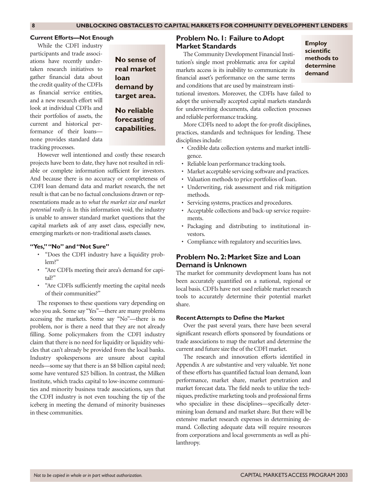#### **Current Efforts—Not Enough**

While the CDFI industry participants and trade associations have recently undertaken research initiatives to gather financial data about the credit quality of the CDFIs as financial service entities, and a new research effort will look at individual CDFIs and their portfolios of assets, the current and historical performance of their loans none provides standard data tracking processes.

**No sense of real market loan demand by target area. No reliable**

# **forecasting capabilities.**

However well intentioned and costly these research projects have been to date, they have not resulted in reliable or complete information sufficient for investors. And because there is no accuracy or completeness of CDFI loan demand data and market research, the net result is that can be no factual conclusions drawn or representations made as to *what the market size and market potential really is.* In this information void, the industry is unable to answer standard market questions that the capital markets ask of any asset class, especially new, emerging markets or non-traditional assets classes.

#### **"Yes," "No" and "Not Sure"**

- "Does the CDFI industry have a liquidity problem?"
- "Are CDFIs meeting their area's demand for capital?"
- "Are CDFIs sufficiently meeting the capital needs of their communities?"

The responses to these questions vary depending on who you ask. Some say "Yes"—there are many problems accessing the markets. Some say "No"—there is no problem, nor is there a need that they are not already filling. Some policymakers from the CDFI industry claim that there is no need for liquidity or liquidity vehicles that can't already be provided from the local banks. Industry spokespersons are unsure about capital needs—some say that there is an \$8 billion capital need; some have ventured \$25 billion. In contrast, the Milken Institute, which tracks capital to low-income communities and minority business trade associations, says that the CDFI industry is not even touching the tip of the iceberg in meeting the demand of minority businesses in these communities.

#### **Problem No.1: Failure to Adopt Market Standards**

The Community Development Financial Institution's single most problematic area for capital markets access is its inability to communicate its financial asset's performance on the same terms and conditions that are used by mainstream insti**Employ scientific methods to determine demand**

tutional investors. Moreover, the CDFIs have failed to adopt the universally accepted capital markets standards for underwriting documents, data collection processes and reliable performance tracking.

More CDFIs need to adopt the for-profit disciplines, practices, standards and techniques for lending. These disciplines include:

- Credible data collection systems and market intelligence.
- Reliable loan performance tracking tools.
- Market acceptable servicing software and practices.
- Valuation methods to price portfolios of loan.
- Underwriting, risk assessment and risk mitigation methods.
- Servicing systems, practices and procedures.
- Acceptable collections and back-up service requirements.
- Packaging and distributing to institutional investors.
- Compliance with regulatory and securities laws.

#### **Problem No.2:Market Size and Loan Demand is Unknown**

The market for community development loans has not been accurately quantified on a national, regional or local basis. CDFIs have not used reliable market research tools to accurately determine their potential market share.

#### **Recent Attempts to Define the Market**

Over the past several years, there have been several significant research efforts sponsored by foundations or trade associations to map the market and determine the current and future size the of the CDFI market.

The research and innovation efforts identified in Appendix A are substantive and very valuable. Yet none of these efforts has quantified factual loan demand, loan performance, market share, market penetration and market forecast data. The field needs to utilize the techniques, predictive marketing tools and professional firms who specialize in these disciplines—specifically determining loan demand and market share. But there will be extensive market research expenses in determining demand. Collecting adequate data will require resources from corporations and local governments as well as philanthropy.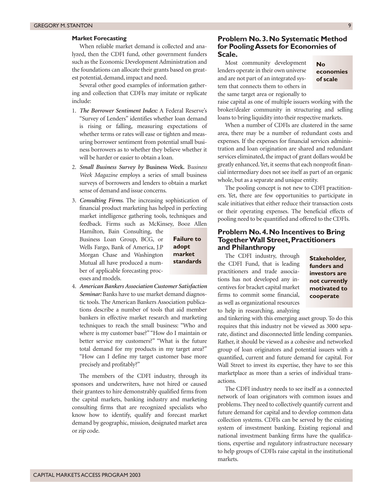#### **Market Forecasting**

When reliable market demand is collected and analyzed, then the CDFI fund, other government funders such as the Economic Development Administration and the foundations can allocate their grants based on greatest potential, demand, impact and need.

Several other good examples of information gathering and collection that CDFIs may imitate or replicate include:

- 1. *The Borrower Sentiment Index:* A Federal Reserve's "Survey of Lenders" identifies whether loan demand is rising or falling, measuring expectations of whether terms or rates will ease or tighten and measuring borrower sentiment from potential small business borrowers as to whether they believe whether it will be harder or easier to obtain a loan.
- 2. *Small Business Survey by* **Business Week.** B*usiness Week Magazine* employs a series of small business surveys of borrowers and lenders to obtain a market sense of demand and issue concerns.
- 3. *Consulting Firms.* The increasing sophistication of financial product marketing has helped in perfecting market intelligence gathering tools, techniques and feedback. Firms such as McKinsey, Booz Allen

Hamilton, Bain Consulting, the Business Loan Group, BCG, or Wells Fargo, Bank of America, J.P Morgan Chase and Washington Mutual all have produced a number of applicable forecasting processes and models.

**Failure to adopt market**

4. *American Bankers Association Customer Satisfaction Seminar:* Banks have to use market demand diagnostic tools. The American Bankers Association publications describe a number of tools that aid member bankers in effective market research and marketing techniques to reach the small business: "Who and where is my customer base?" "How do I maintain or better service my customers?" "What is the future total demand for my products in my target area?" "How can I define my target customer base more precisely and profitably?"

The members of the CDFI industry, through its sponsors and underwriters, have not hired or caused their grantees to hire demonstrably qualified firms from the capital markets, banking industry and marketing consulting firms that are recognized specialists who know how to identify, qualify and forecast market demand by geographic, mission, designated market area or zip code.

#### **Problem No.3.No Systematic Method for Pooling Assets for Economies of Scale.**

Most community development lenders operate in their own universe and are not part of an integrated system that connects them to others in the same target area or regionally to

**No economies of scale**

raise capital as one of multiple issuers working with the broker/dealer community in structuring and selling loans to bring liquidity into their respective markets.

When a number of CDFIs are clustered in the same area, there may be a number of redundant costs and expenses. If the expenses for financial services administration and loan origination are shared and redundant services eliminated, the impact of grant dollars would be greatly enhanced. Yet, it seems that each nonprofit financial intermediary does not see itself as part of an organic whole, but as a separate and unique entity.

The pooling concept is not new to CDFI practitioners. Yet, there are few opportunities to participate in scale initiatives that either reduce their transaction costs or their operating expenses. The beneficial effects of pooling need to be quantified and offered to the CDFIs.

#### **Problem No.4.No Incentives to Bring Together Wall Street, Practitioners and Philanthropy**

The CDFI industry, through **standards** the CDFI fundsulp, unough **Stakeholder,**<br>**standards** the CDFI Fund, that is leading **funders and** practitioners and trade associations has not developed any incentives for bracket capital market firms to commit some financial, as well as organizational resources to help in researching, analyzing

**funders and investors are not currently motivated to cooperate**

and tinkering with this emerging asset group. To do this requires that this industry not be viewed as 3000 separate, distinct and disconnected little lending companies. Rather, it should be viewed as a cohesive and networked group of loan originators and potential issuers with a quantified, current and future demand for capital. For Wall Street to invest its expertise, they have to see this marketplace as more than a series of individual transactions.

The CDFI industry needs to see itself as a connected network of loan originators with common issues and problems. They need to collectively quantify current and future demand for capital and to develop common data collection systems. CDFIs can be served by the existing system of investment banking. Existing regional and national investment banking firms have the qualifications, expertise and regulatory infrastructure necessary to help groups of CDFIs raise capital in the institutional markets.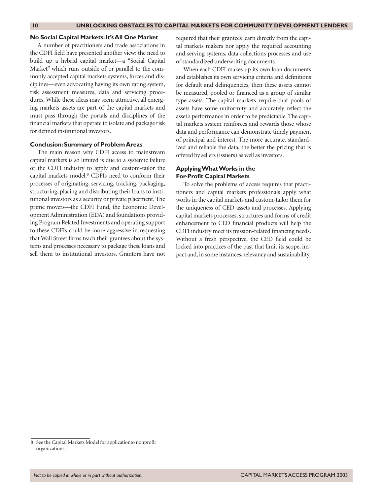#### **No Social Capital Markets:It's All One Market**

A number of practitioners and trade associations in the CDFI field have presented another view: the need to build up a hybrid capital market—a "Social Capital Market" which runs outside of or parallel to the commonly accepted capital markets systems, forces and disciplines—even advocating having its own rating system, risk assessment measures, data and servicing procedures. While these ideas may seem attractive, all emerging markets assets are part of the capital markets and must pass through the portals and disciplines of the financial markets that operate to isolate and package risk for defined institutional investors.

#### **Conclusion:Summary of Problem Areas**

The main reason why CDFI access to mainstream capital markets is so limited is due to a systemic failure of the CDFI industry to apply and custom-tailor the capital markets model.8 CDFIs need to conform their processes of originating, servicing, tracking, packaging, structuring, placing and distributing their loans to institutional investors as a security or private placement. The prime movers—the CDFI Fund, the Economic Development Administration (EDA) and foundations providing Program Related Investments and operating support to these CDFIs could be more aggressive in requesting that Wall Street firms teach their grantees about the systems and processes necessary to package these loans and sell them to institutional investors. Grantors have not

required that their grantees learn directly from the capital markets makers nor apply the required accounting and serving systems, data collections processes and use of standardized underwriting documents.

When each CDFI makes up its own loan documents and establishes its own servicing criteria and definitions for default and delinquencies, then these assets cannot be measured, pooled or financed as a group of similar type assets. The capital markets require that pools of assets have some uniformity and accurately reflect the asset's performance in order to be predictable. The capital markets system reinforces and rewards those whose data and performance can demonstrate timely payment of principal and interest. The more accurate, standardized and reliable the data, the better the pricing that is offered by sellers (issuers) as well as investors.

#### **Applying What Works in the For-Profit Capital Markets**

To solve the problems of access requires that practitioners and capital markets professionals apply what works in the capital markets and custom-tailor them for the uniqueness of CED assets and processes. Applying capital markets processes, structures and forms of credit enhancement to CED financial products will help the CDFI industry meet its mission-related financing needs. Without a fresh perspective, the CED field could be locked into practices of the past that limit its scope, impact and, in some instances, relevancy and sustainability.

<sup>8</sup> See the Capital Markets Model for applicationto nonprofit organizations..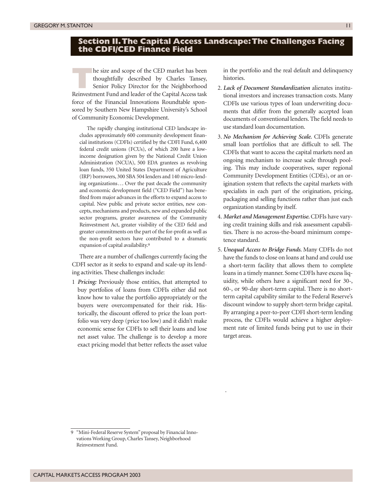# **Section II.The Capital Access Landscape:The Challenges Facing the CDFI/CED Finance Field**

**The size and scope of the CED market has been<br>thoughtfully described by Charles Tansey,<br>Senior Policy Director for the Neighborhood<br>Reinvestment Fund and leader of the Capital Access task** thoughtfully described by Charles Tansey, Senior Policy Director for the Neighborhood Reinvestment Fund and leader of the Capital Access task force of the Financial Innovations Roundtable sponsored by Southern New Hampshire University's School of Community Economic Development.

The rapidly changing institutional CED landscape includes approximately 600 community development financial institutions (CDFIs) certified by the CDFI Fund, 6,400 federal credit unions (FCUs), of which 200 have a lowincome designation given by the National Credit Union Administration (NCUA), 500 EDA grantees as revolving loan funds, 350 United States Department of Agriculture (IRP) borrowers, 300 SBA 504 lenders and 140 micro-lending organizations... Over the past decade the community and economic development field ("CED Field") has benefited from major advances in the efforts to expand access to capital. New public and private sector entities, new concepts, mechanisms and products, new and expanded public sector programs, greater awareness of the Community Reinvestment Act, greater visibility of the CED field and greater commitments on the part of the for-profit as well as the non-profit sectors have contributed to a dramatic expansion of capital availability.9

There are a number of challenges currently facing the CDFI sector as it seeks to expand and scale-up its lending activities. These challenges include:

1 *Pricing:* Previously those entities, that attempted to buy portfolios of loans from CDFIs either did not know how to value the portfolio appropriately or the buyers were overcompensated for their risk. Historically, the discount offered to price the loan portfolio was very deep (price too low) and it didn't make economic sense for CDFIs to sell their loans and lose net asset value. The challenge is to develop a more exact pricing model that better reflects the asset value

in the portfolio and the real default and delinquency histories.

- 2. *Lack of Document Standardization* alienates institutional investors and increases transaction costs. Many CDFIs use various types of loan underwriting documents that differ from the generally accepted loan documents of conventional lenders. The field needs to use standard loan documentation.
- 3. *No Mechanism for Achieving Scale.* CDFIs generate small loan portfolios that are difficult to sell. The CDFIs that want to access the capital markets need an ongoing mechanism to increase scale through pooling. This may include cooperatives, super regional Community Development Entities (CDEs), or an origination system that reflects the capital markets with specialists in each part of the origination, pricing, packaging and selling functions rather than just each organization standing by itself.
- 4. *Market and Management Expertise.*CDFIs have varying credit training skills and risk assessment capabilities. There is no across-the-board minimum competence standard.
- 5. *Unequal Access to Bridge Funds.* Many CDFIs do not have the funds to close on loans at hand and could use a short-term facility that allows them to complete loans in a timely manner. Some CDFIs have excess liquidity, while others have a significant need for 30-, 60-, or 90-day short-term capital. There is no shortterm capital capability similar to the Federal Reserve's discount window to supply short-term bridge capital. By arranging a peer-to-peer CDFI short-term lending process, the CDFIs would achieve a higher deployment rate of limited funds being put to use in their target areas.

.

<sup>&</sup>quot;Mini-Federal Reserve System" proposal by Financial Innovations Working Group, Charles Tansey, Neighborhood Reinvestment Fund.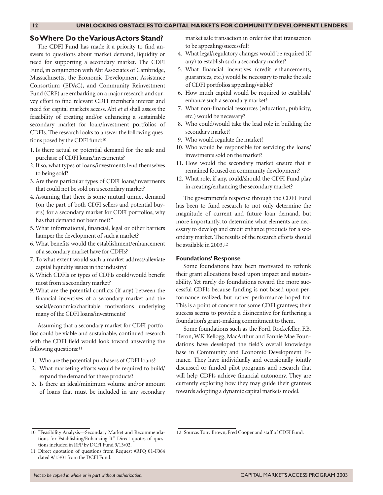#### **So Where Do the Various Actors Stand?**

The **CDFI Fund** has made it a priority to find answers to questions about market demand, liquidity or need for supporting a secondary market. The CDFI Fund, in conjunction with Abt Associates of Cambridge, Massachusetts, the Economic Development Assistance Consortium (EDAC), and Community Reinvestment Fund (CRF) are embarking on a major research and survey effort to find relevant CDFI member's interest and need for capital markets access. Abt *et al* shall assess the feasibility of creating and/or enhancing a sustainable secondary market for loan/investment portfolios of CDFIs. The research looks to answer the following questions posed by the CDFI fund:10

- 1. Is there actual or potential demand for the sale and purchase of CDFI loans/investments?
- 2. If so, what types of loans/investments lend themselves to being sold?
- 3. Are there particular types of CDFI loans/investments that could not be sold on a secondary market?
- 4. Assuming that there is some mutual unmet demand (on the part of both CDFI sellers and potential buyers) for a secondary market for CDFI portfolios, why has that demand not been met?"
- 5. What informational, financial, legal or other barriers hamper the development of such a market?
- 6. What benefits would the establishment/enhancement of a secondary market have for CDFIs?
- 7. To what extent would such a market address/alleviate capital liquidity issues in the industry?
- 8. Which CDFIs or types of CDFIs could/would benefit most from a secondary market?
- 9. What are the potential conflicts (if any) between the financial incentives of a secondary market and the social/economic/charitable motivations underlying many of the CDFI loans/investments?

Assuming that a secondary market for CDFI portfolios could be viable and sustainable, continued research with the CDFI field would look toward answering the following questions:<sup>11</sup>

- 1. Who are the potential purchasers of CDFI loans?
- 2. What marketing efforts would be required to build/ expand the demand for these products?
- 3. Is there an ideal/minimum volume and/or amount of loans that must be included in any secondary

market sale transaction in order for that transaction to be appealing/successful?

- 4. What legal/regulatory changes would be required (if any) to establish such a secondary market?
- 5. What financial incentives (credit enhancements, guarantees, etc.) would be necessary to make the sale of CDFI portfolios appealing/viable?
- 6. How much capital would be required to establish/ enhance such a secondary market?
- 7. What non-financial resources (education, publicity, etc.) would be necessary?
- 8. Who could/would take the lead role in building the secondary market?
- 9. Who would regulate the market?
- 10. Who would be responsible for servicing the loans/ investments sold on the market?
- 11. How would the secondary market ensure that it remained focused on community development?
- 12. What role, if any, could/should the CDFI Fund play in creating/enhancing the secondary market?

The government's response through the CDFI Fund has been to fund research to not only determine the magnitude of current and future loan demand, but more importantly, to determine what elements are necessary to develop and credit enhance products for a secondary market. The results of the research efforts should be available in 2003.12

#### **Foundations' Response**

Some foundations have been motivated to rethink their grant allocations based upon impact and sustainability. Yet rarely do foundations reward the more successful CDFIs because funding is not based upon performance realized, but rather performance hoped for. This is a point of concern for some CDFI grantees; their success seems to provide a disincentive for furthering a foundation's grant-making commitment to them.

Some foundations such as the Ford, Rockefeller, F.B. Heron, W.K Kellogg, MacArthur and Fannie Mae Foundations have developed the field's overall knowledge base in Community and Economic Development Finance. They have individually and occasionally jointly discussed or funded pilot programs and research that will help CDFIs achieve financial autonomy. They are currently exploring how they may guide their grantees towards adopting a dynamic capital markets model.

12 Source: Tony Brown, Fred Cooper and staff of CDFI Fund.

<sup>10 &</sup>quot;Feasibility Analysis—Secondary Market and Recommendations for Establishing/Enhancing It." Direct quotes of questions included in RFP by DCFI Fund 9/13/02.

<sup>11</sup> Direct quotation of questions from Request #RFQ 01-F064 dated 9/13/01 from the DCFI Fund.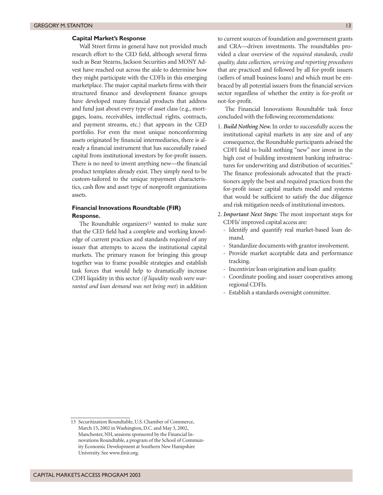#### **Capital Market's Response**

Wall Street firms in general have not provided much research effort to the CED field, although several firms such as Bear Stearns, Jackson Securities and MONY Advest have reached out across the aisle to determine how they might participate with the CDFIs in this emerging marketplace. The major capital markets firms with their structured finance and development finance groups have developed many financial products that address and fund just about every type of asset class (e.g., mortgages, loans, receivables, intellectual rights, contracts, and payment streams, etc.) that appears in the CED portfolio. For even the most unique nonconforming assets originated by financial intermediaries, there is already a financial instrument that has successfully raised capital from institutional investors by for-profit issuers. There is no need to invent anything new—the financial product templates already exist. They simply need to be custom-tailored to the unique repayment characteristics, cash flow and asset type of nonprofit organizations assets.

#### **Financial Innovations Roundtable (FIR) Response.**

The Roundtable organizers13 wanted to make sure that the CED field had a complete and working knowledge of current practices and standards required of any issuer that attempts to access the institutional capital markets. The primary reason for bringing this group together was to frame possible strategies and establish task forces that would help to dramatically increase CDFI liquidity in this sector *(if liquidity needs were warranted and loan demand was not being met*) in addition

to current sources of foundation and government grants and CRA—driven investments. The roundtables provided a clear overview of the *required standards, credit quality, data collection, servicing and reporting procedures* that are practiced and followed by all for-profit issuers (sellers of small business loans) and which must be embraced by all potential issuers from the financial services sector regardless of whether the entity is for-profit or not-for-profit.

The Financial Innovations Roundtable task force concluded with the following recommendations:

- 1. *Build Nothing New.* In order to successfully access the institutional capital markets in any size and of any consequence, the Roundtable participants advised the CDFI field to build nothing "new" nor invest in the high cost of building investment banking infrastructures for underwriting and distribution of securities." The finance professionals advocated that the practitioners apply the best and required practices from the for-profit issuer capital markets model and systems that would be sufficient to satisfy the due diligence and risk mitigation needs of institutional investors.
- 2. *Important Next Steps:* The most important steps for CDFIs' improved capital access are:
	- Identify and quantify real market-based loan demand.
	- Standardize documents with grantor involvement.
	- Provide market acceptable data and performance tracking.
	- Incentivize loan origination and loan quality.
	- Coordinate pooling and issuer cooperatives among regional CDFIs.
	- Establish a standards oversight committee.

<sup>13</sup> Securitization Roundtable, U.S. Chamber of Commerce, March 15, 2002 in Washington, D.C. and May 3, 2002, Manchester, NH, sessions sponsored by the Financial Innovations Roundtable, a program of the School of Community Economic Development at Southern New Hampshire University. See www.finir.org.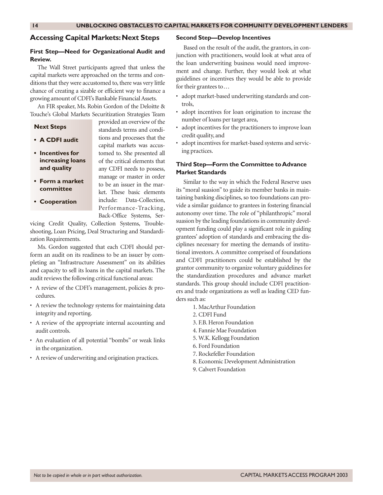#### **Accessing Capital Markets: Next Steps**

#### **First Step—Need for Organizational Audit and Review.**

The Wall Street participants agreed that unless the capital markets were approached on the terms and conditions that they were accustomed to, there was very little chance of creating a sizable or efficient way to finance a growing amount of CDFI's Bankable Financial Assets.

An FIR speaker, Ms. Robin Gordon of the Deloitte & Touche's Global Markets Securitization Strategies Team

#### **Next Steps**

- **A CDFI audit**
- **Incentives for increasing loans and quality**
- **Form a market committee**
- **Cooperation**

provided an overview of the standards terms and conditions and processes that the capital markets was accustomed to. She presented all of the critical elements that any CDFI needs to possess, manage or master in order to be an issuer in the market. These basic elements include: Data-Collection, Performance-Tracking, Back-Office Systems, Ser-

vicing Credit Quality, Collection Systems, Troubleshooting, Loan Pricing, Deal Structuring and Standardization Requirements.

Ms. Gordon suggested that each CDFI should perform an audit on its readiness to be an issuer by completing an "Infrastructure Assessment" on its abilities and capacity to sell its loans in the capital markets. The audit reviews the following critical functional areas:

- A review of the CDFI's management, policies & procedures.
- A review the technology systems for maintaining data integrity and reporting.
- A review of the appropriate internal accounting and audit controls.
- An evaluation of all potential "bombs" or weak links in the organization.
- A review of underwriting and origination practices.

#### **Second Step—Develop Incentives**

Based on the result of the audit, the grantors, in conjunction with practitioners, would look at what area of the loan underwriting business would need improvement and change. Further, they would look at what guidelines or incentives they would be able to provide for their grantees to...

- adopt market-based underwriting standards and controls,
- adopt incentives for loan origination to increase the number of loans per target area,
- adopt incentives for the practitioners to improve loan credit quality, and
- adopt incentives for market-based systems and servicing practices.

#### **Third Step—Form the Committee to Advance Market Standards**

Similar to the way in which the Federal Reserve uses its "moral suasion" to guide its member banks in maintaining banking disciplines, so too foundations can provide a similar guidance to grantees in fostering financial autonomy over time. The role of "philanthropic" moral suasion by the leading foundations in community development funding could play a significant role in guiding grantees' adoption of standards and embracing the disciplines necessary for meeting the demands of institutional investors. A committee comprised of foundations and CDFI practitioners could be established by the grantor community to organize voluntary guidelines for the standardization procedures and advance market standards. This group should include CDFI practitioners and trade organizations as well as leading CED funders such as:

- 1. MacArthur Foundation
- 2. CDFI Fund
- 3. F.B. Heron Foundation
- 4. Fannie Mae Foundation
- 5. W.K. Kellogg Foundation
- 6. Ford Foundation
- 7. Rockefeller Foundation
- 8. Economic Development Administration
- 9. Calvert Foundation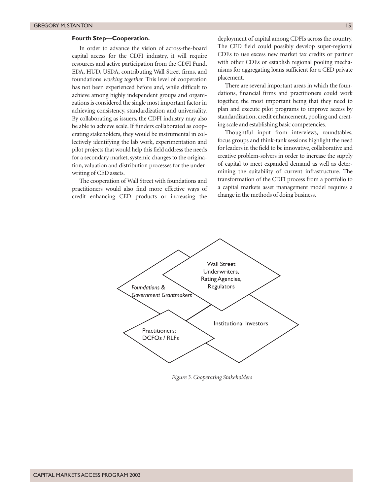#### **Fourth Step—Cooperation.**

In order to advance the vision of across-the-board capital access for the CDFI industry, it will require resources and active participation from the CDFI Fund, EDA, HUD, USDA, contributing Wall Street firms, and foundations *working together.* This level of cooperation has not been experienced before and, while difficult to achieve among highly independent groups and organizations is considered the single most important factor in achieving consistency, standardization and universality. By collaborating as issuers, the CDFI industry may also be able to achieve scale. If funders collaborated as cooperating stakeholders, they would be instrumental in collectively identifying the lab work, experimentation and pilot projects that would help this field address the needs for a secondary market, systemic changes to the origination, valuation and distribution processes for the underwriting of CED assets.

The cooperation of Wall Street with foundations and practitioners would also find more effective ways of credit enhancing CED products or increasing the

deployment of capital among CDFIs across the country. The CED field could possibly develop super-regional CDEs to use excess new market tax credits or partner with other CDEs or establish regional pooling mechanisms for aggregating loans sufficient for a CED private placement.

There are several important areas in which the foundations, financial firms and practitioners could work together, the most important being that they need to plan and execute pilot programs to improve access by standardization, credit enhancement, pooling and creating scale and establishing basic competencies.

Thoughtful input from interviews, roundtables, focus groups and think-tank sessions highlight the need for leaders in the field to be innovative, collaborative and creative problem-solvers in order to increase the supply of capital to meet expanded demand as well as determining the suitability of current infrastructure. The transformation of the CDFI process from a portfolio to a capital markets asset management model requires a change in the methods of doing business.



*Figure 3. Cooperating Stakeholders*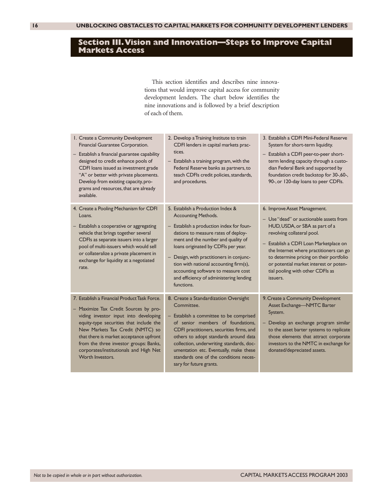# **Section III.Vision and Innovation—Steps to Improve Capital Markets Access**

This section identifies and describes nine innovations that would improve capital access for community development lenders. The chart below identifies the nine innovations and is followed by a brief description of each of them.

| I. Create a Community Development<br>Financial Guarantee Corporation.<br>- Establish a financial guarantee capability<br>designed to credit enhance pools of<br>CDFI loans issued as investment grade<br>"A" or better with private placements.<br>Develop from existing capacity, pro-<br>grams and resources, that are already<br>available.                   | 2. Develop a Training Institute to train<br>CDFI lenders in capital markets prac-<br>tices.<br>- Establish a training program, with the<br>Federal Reserve banks as partners, to<br>teach CDFIs credit policies, standards,<br>and procedures.                                                                                                                                                                        | 3. Establish a CDFI Mini-Federal Reserve<br>System for short-term liquidity.<br>- Establish a CDFI peer-to-peer short-<br>term lending capacity through a custo-<br>dian Federal Bank and supported by<br>foundation credit backstop for 30-,60-,<br>90-, or 120-day loans to peer CDFIs.                                                                         |
|------------------------------------------------------------------------------------------------------------------------------------------------------------------------------------------------------------------------------------------------------------------------------------------------------------------------------------------------------------------|-----------------------------------------------------------------------------------------------------------------------------------------------------------------------------------------------------------------------------------------------------------------------------------------------------------------------------------------------------------------------------------------------------------------------|-------------------------------------------------------------------------------------------------------------------------------------------------------------------------------------------------------------------------------------------------------------------------------------------------------------------------------------------------------------------|
| 4. Create a Pooling Mechanism for CDFI<br>Loans.<br>- Establish a cooperative or aggregating<br>vehicle that brings together several<br>CDFIs as separate issuers into a larger<br>pool of multi-issuers which would sell<br>or collateralize a private placement in<br>exchange for liquidity at a negotiated<br>rate.                                          | 5. Establish a Production Index &<br><b>Accounting Methods.</b><br>- Establish a production index for foun-<br>dations to measure rates of deploy-<br>ment and the number and quality of<br>loans originated by CDFIs per year.<br>- Design, with practitioners in conjunc-<br>tion with national accounting firm(s),<br>accounting software to measure cost<br>and efficiency of administering lending<br>functions. | 6. Improve Asset Management.<br>- Use "dead" or auctionable assets from<br>HUD, USDA, or SBA as part of a<br>revolving collateral pool.<br>- Establish a CDFI Loan Marketplace on<br>the Internet where practitioners can go<br>to determine pricing on their portfolio<br>or potential market interest or poten-<br>tial pooling with other CDFIs as<br>issuers. |
| 7. Establish a Financial Product Task Force.<br>- Maximize Tax Credit Sources by pro-<br>viding investor input into developing<br>equity-type securities that include the<br>New Markets Tax Credit (NMTC) so<br>that there is market acceptance upfront<br>from the three investor groups: Banks,<br>corporates/institutionals and High Net<br>Worth Investors. | 8. Create a Standardization Oversight<br>Committee.<br>- Establish a committee to be comprised<br>of senior members of foundations.<br>CDFI practitioners, securities firms, and<br>others to adopt standards around data<br>collection, underwriting standards, doc-<br>umentation etc. Eventually, make these<br>standards one of the conditions neces-<br>sary for future grants.                                  | 9. Create a Community Development<br>Asset Exchange-NMTC Barter<br>System.<br>Develop an exchange program similar<br>to the asset barter systems to replicate<br>those elements that attract corporate<br>investors to the NMTC in exchange for<br>donated/depreciated assets.                                                                                    |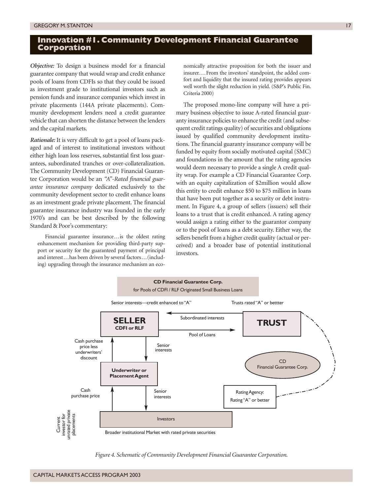# **Innovation #1. Community Development Financial Guarantee Corporation**

*Objective:* To design a business model for a financial guarantee company that would wrap and credit enhance pools of loans from CDFIs so that they could be issued as investment grade to institutional investors such as pension funds and insurance companies which invest in private placements (144A private placements). Community development lenders need a credit guarantee vehicle that can shorten the distance between the lenders and the capital markets.

*Rationale:* It is very difficult to get a pool of loans packaged and of interest to institutional investors without either high loan loss reserves, substantial first loss guarantees, subordinated tranches or over-collateralization. The Community Development (CD) Financial Guarantee Corporation would be an *"A"-Rated financial guarantee insurance company* dedicated exclusively to the community development sector to credit enhance loans as an investment grade private placement. The financial guarantee insurance industry was founded in the early 1970's and can be best described by the following Standard & Poor's commentary:

Financial guarantee insurance...is the oldest rating enhancement mechanism for providing third-party support or security for the guaranteed payment of principal and interest...has been driven by several factors...(including) upgrading through the insurance mechanism an eco-

nomically attractive proposition for both the issuer and insurer....From the investors' standpoint, the added comfort and liquidity that the insured rating provides appears well worth the slight reduction in yield. (S&P's Public Fin. Criteria 2000)

The proposed mono-line company will have a primary business objective to issue A-rated financial guaranty insurance policies to enhance the credit (and subsequent credit ratings quality) of securities and obligations issued by qualified community development institutions. The financial guaranty insurance company will be funded by equity from socially motivated capital (SMC) and foundations in the amount that the rating agencies would deem necessary to provide a single A credit quality wrap. For example a CD Financial Guarantee Corp. with an equity capitalization of \$2million would allow this entity to credit enhance \$50 to \$75 million in loans that have been put together as a security or debt instrument. In Figure 4, a group of sellers (issuers) sell their loans to a trust that is credit enhanced. A rating agency would assign a rating either to the guarantor company or to the pool of loans as a debt security. Either way, the sellers benefit from a higher credit quality (actual or perceived) and a broader base of potential institutional investors.



*Figure 4. Schematic of Community Development Financial Guarantee Corporation.*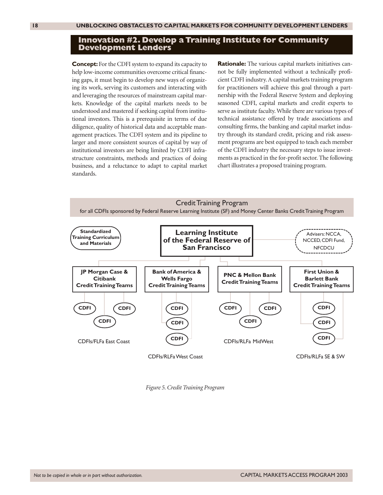#### **Innovation #2. Develop a Training Institute for Community Development Lenders**

**Concept:** For the CDFI system to expand its capacity to help low-income communities overcome critical financing gaps, it must begin to develop new ways of organizing its work, serving its customers and interacting with and leveraging the resources of mainstream capital markets. Knowledge of the capital markets needs to be understood and mastered if seeking capital from institutional investors. This is a prerequisite in terms of due diligence, quality of historical data and acceptable management practices. The CDFI system and its pipeline to larger and more consistent sources of capital by way of institutional investors are being limited by CDFI infrastructure constraints, methods and practices of doing business, and a reluctance to adapt to capital market standards.

**Rationale:** The various capital markets initiatives cannot be fully implemented without a technically proficient CDFI industry. A capital markets training program for practitioners will achieve this goal through a partnership with the Federal Reserve System and deploying seasoned CDFI, capital markets and credit experts to serve as institute faculty. While there are various types of technical assistance offered by trade associations and consulting firms, the banking and capital market industry through its standard credit, pricing and risk assessment programs are best equipped to teach each member of the CDFI industry the necessary steps to issue investments as practiced in the for-profit sector. The following chart illustrates a proposed training program.



*Figure 5. Credit Training Program*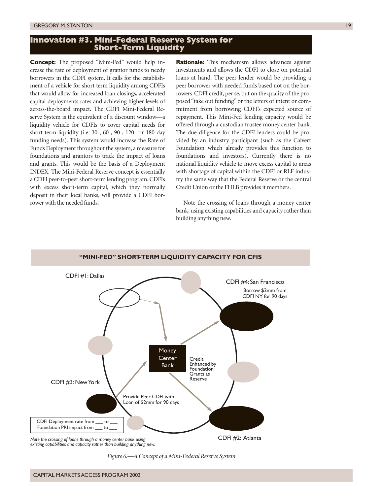# **Innovation #3. Mini-Federal Reserve System for Short-Term Liquidity**

**Concept:** The proposed "Mini-Fed" would help increase the rate of deployment of grantor funds to needy borrowers in the CDFI system. It calls for the establishment of a vehicle for short term liquidity among CDFIs that would allow for increased loan closings, accelerated capital deployments rates and achieving higher levels of across-the-board impact. The CDFI Mini-Federal Reserve System is the equivalent of a discount window—a liquidity vehicle for CDFIs to cover capital needs for short-term liquidity (i.e. 30-, 60-, 90-, 120- or 180-day funding needs). This system would increase the Rate of Funds Deployment throughout the system, a measure for foundations and grantors to track the impact of loans and grants. This would be the basis of a Deployment INDEX. The Mini-Federal Reserve concept is essentially a CDFI peer-to-peer short-term lending program. CDFIs with excess short-term capital, which they normally deposit in their local banks, will provide a CDFI borrower with the needed funds.

**Rationale:** This mechanism allows advances against investments and allows the CDFI to close on potential loans at hand. The peer lender would be providing a peer borrower with needed funds based not on the borrowers CDFI credit, per se, but on the quality of the proposed "take out funding" or the letters of intent or commitment from borrowing CDFI's expected source of repayment. This Mini-Fed lending capacity would be offered through a custodian trustee money center bank. The due diligence for the CDFI lenders could be provided by an industry participant (such as the Calvert Foundation which already provides this function to foundations and investors). Currently there is no national liquidity vehicle to move excess capital to areas with shortage of capital within the CDFI or RLF industry the same way that the Federal Reserve or the central Credit Union or the FHLB provides it members.

Note the crossing of loans through a money center bank, using existing capabilities and capacity rather than building anything new.



*Figure 6.—A Concept of a Mini-Federal Reserve System*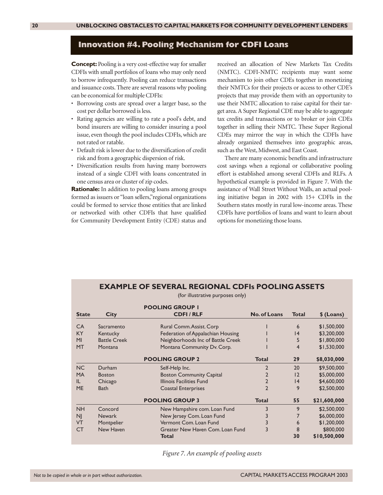## **Innovation #4. Pooling Mechanism for CDFI Loans**

**Concept:** Pooling is a very cost-effective way for smaller CDFIs with small portfolios of loans who may only need to borrow infrequently. Pooling can reduce transactions and issuance costs. There are several reasons why pooling can be economical for multiple CDFIs:

- Borrowing costs are spread over a larger base, so the cost per dollar borrowed is less.
- Rating agencies are willing to rate a pool's debt, and bond insurers are willing to consider insuring a pool issue, even though the pool includes CDFIs, which are not rated or ratable.
- Default risk is lower due to the diversification of credit risk and from a geographic dispersion of risk.
- Diversification results from having many borrowers instead of a single CDFI with loans concentrated in one census area or cluster of zip codes.

**Rationale:** In addition to pooling loans among groups formed as issuers or "loan sellers,"regional organizations could be formed to service those entities that are linked or networked with other CDFIs that have qualified for Community Development Entity (CDE) status and

received an allocation of New Markets Tax Credits (NMTC). CDFI-NMTC recipients may want some mechanism to join other CDEs together in monetizing their NMTCs for their projects or access to other CDE's projects that may provide them with an opportunity to use their NMTC allocation to raise capital for their target area. A Super Regional CDE may be able to aggregate tax credits and transactions or to broker or join CDEs together in selling their NMTC. These Super Regional CDEs may mirror the way in which the CDFIs have already organized themselves into geographic areas, such as the West, Midwest, and East Coast.

There are many economic benefits and infrastructure cost savings when a regional or collaborative pooling effort is established among several CDFIs and RLFs. A hypothetical example is provided in Figure 7. With the assistance of Wall Street Without Walls, an actual pooling initiative began in 2002 with 15+ CDFIs in the Southern states mostly in rural low-income areas. These CDFIs have portfolios of loans and want to learn about options for monetizing those loans.

# **EXAMPLE OF SEVERAL REGIONAL CDFIs POOLING ASSETS**

(for illustrative purposes only)

|              |                     | <b>POOLING GROUP I</b>            |                     |                 |              |
|--------------|---------------------|-----------------------------------|---------------------|-----------------|--------------|
| <b>State</b> | <b>City</b>         | <b>CDFI/RLF</b>                   | <b>No. of Loans</b> | <b>Total</b>    | \$ (Loans)   |
| <b>CA</b>    | Sacramento          | Rural Comm. Assist. Corp          |                     | 6               | \$1,500,000  |
| KY           | Kentucky            | Federation of Appalachian Housing |                     | $\overline{14}$ | \$3,200,000  |
| MI           | <b>Battle Creek</b> | Neighborhoods Inc of Battle Creek |                     | 5               | \$1,800,000  |
| <b>MT</b>    | Montana             | Montana Community Dv. Corp.       |                     | 4               | \$1,530,000  |
|              |                     | <b>POOLING GROUP 2</b>            | <b>Total</b>        | 29              | \$8,030,000  |
| NC           | Durham              | Self-Help Inc.                    | $\overline{2}$      | 20              | \$9,500,000  |
| <b>MA</b>    | <b>Boston</b>       | <b>Boston Community Capital</b>   | $\overline{2}$      | 12              | \$5,000,000  |
| IL           | Chicago             | Illinois Facilities Fund          | $\overline{2}$      | 4               | \$4,600,000  |
| <b>ME</b>    | <b>Bath</b>         | <b>Coastal Enterprises</b>        | $\overline{2}$      | 9               | \$2,500,000  |
|              |                     | <b>POOLING GROUP 3</b>            | <b>Total</b>        | 55              | \$21,600,000 |
| <b>NH</b>    | Concord             | New Hampshire com. Loan Fund      | 3                   | 9               | \$2,500,000  |
| <b>NJ</b>    | <b>Newark</b>       | New Jersey Com. Loan Fund         | 3                   | $\overline{7}$  | \$6,000,000  |
| <b>VT</b>    | Montpelier          | Vermont Com. Loan Fund            | 3                   | 6               | \$1,200,000  |
| <b>CT</b>    | New Haven           | Greater New Haven Com. Loan Fund  | 3                   | 8               | \$800,000    |
|              |                     | Total                             |                     | 30              | \$10,500,000 |

*Figure 7. An example of pooling assets*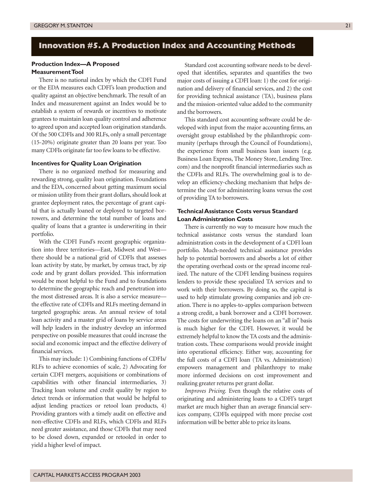# **Innovation #5.A Production Index and Accounting Methods**

#### **Production Index—A Proposed Measurement Tool**

There is no national index by which the CDFI Fund or the EDA measures each CDFI's loan production and quality against an objective benchmark. The result of an Index and measurement against an Index would be to establish a system of rewards or incentives to motivate grantees to maintain loan quality control and adherence to agreed upon and accepted loan origination standards. Of the 500 CDFIs and 300 RLFs, only a small percentage (15-20%) originate greater than 20 loans per year. Too many CDFIs originate far too few loans to be effective.

#### **Incentives for Quality Loan Origination**

There is no organized method for measuring and rewarding strong, quality loan origination. Foundations and the EDA, concerned about getting maximum social or mission utility from their grant dollars, should look at grantee deployment rates, the percentage of grant capital that is actually loaned or deployed to targeted borrowers, and determine the total number of loans and quality of loans that a grantee is underwriting in their portfolio.

With the CDFI Fund's recent geographic organization into three territories—East, Midwest and West there should be a national grid of CDFIs that assesses loan activity by state, by market, by census tract, by zip code and by grant dollars provided. This information would be most helpful to the Fund and to foundations to determine the geographic reach and penetration into the most distressed areas. It is also a service measure the effective rate of CDFIs and RLFs meeting demand in targeted geographic areas. An annual review of total loan activity and a master grid of loans by service areas will help leaders in the industry develop an informed perspective on possible measures that could increase the social and economic impact and the effective delivery of financial services.

This may include: 1) Combining functions of CDFIs/ RLFs to achieve economies of scale, 2) Advocating for certain CDFI mergers, acquisitions or combinations of capabilities with other financial intermediaries, 3) Tracking loan volume and credit quality by region to detect trends or information that would be helpful to adjust lending practices or retool loan products, 4) Providing grantors with a timely audit on effective and non-effective CDFIs and RLFs, which CDFIs and RLFs need greater assistance, and those CDFIs that may need to be closed down, expanded or retooled in order to yield a higher level of impact.

Standard cost accounting software needs to be developed that identifies, separates and quantifies the two major costs of issuing a CDFI loan: 1) the cost for origination and delivery of financial services, and 2) the cost for providing technical assistance (TA), business plans and the mission-oriented value added to the community and the borrowers.

This standard cost accounting software could be developed with input from the major accounting firms, an oversight group established by the philanthropic community (perhaps through the Council of Foundations), the experience from small business loan issuers (e.g. Business Loan Express, The Money Store, Lending Tree. com) and the nonprofit financial intermediaries such as the CDFIs and RLFs. The overwhelming goal is to develop an efficiency-checking mechanism that helps determine the cost for administering loans versus the cost of providing TA to borrowers.

#### **Technical Assistance Costs versus Standard Loan Administration Costs**

There is currently no way to measure how much the technical assistance costs versus the standard loan administration costs in the development of a CDFI loan portfolio. Much-needed technical assistance provides help to potential borrowers and absorbs a lot of either the operating overhead costs or the spread income realized. The nature of the CDFI lending business requires lenders to provide these specialized TA services and to work with their borrowers. By doing so, the capital is used to help stimulate growing companies and job creation. There is no apples-to-apples comparison between a strong credit, a bank borrower and a CDFI borrower. The costs for underwriting the loans on an "all in" basis is much higher for the CDFI. However, it would be extremely helpful to know the TA costs and the administration costs. These comparisons would provide insight into operational efficiency. Either way, accounting for the full costs of a CDFI loan (TA vs. Administration) empowers management and philanthropy to make more informed decisions on cost improvement and realizing greater returns per grant dollar.

*Improves Pricing.* Even though the relative costs of originating and administering loans to a CDFI's target market are much higher than an average financial services company, CDFIs equipped with more precise cost information will be better able to price its loans.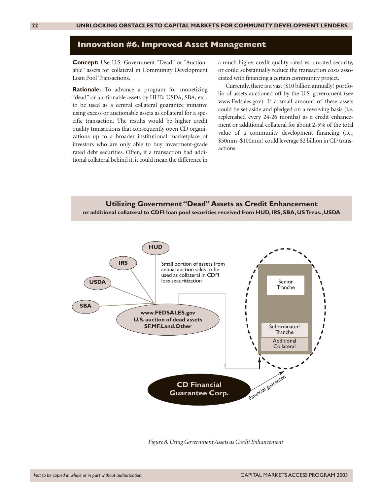#### **Innovation #6. Improved Asset Management**

**Concept:** Use U.S. Government "Dead" or "Auctionable" assets for collateral in Community Development Loan Pool Transactions.

**Rationale:** To advance a program for monetizing "dead" or auctionable assets by HUD, USDA, SBA, etc., to be used as a central collateral guarantee initiative using excess or auctionable assets as collateral for a specific transaction. The results would be higher credit quality transactions that consequently open CD organizations up to a broader institutional marketplace of investors who are only able to buy investment-grade rated debt securities. Often, if a transaction had additional collateral behind it, it could mean the difference in

a much higher credit quality rated vs. unrated security, or could substantially reduce the transaction costs associated with financing a certain community project.

Currently, there is a vast (\$10 billion annually) portfolio of assets auctioned off by the U.S. government (see www.Fedsales.gov). If a small amount of these assets could be set aside and pledged on a revolving basis (i.e. replenished every 24-26 months) as a credit enhancement or additional collateral for about 2-5% of the total value of a community development financing (i.e., \$50mm–\$100mm) could leverage \$2 billion in CD transactions.





*Figure 8. Using Government Assets as Credit Enhancement*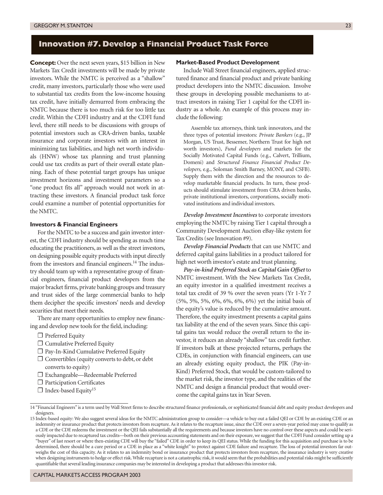# **Innovation #7. Develop a Financial Product Task Force**

**Concept:** Over the next seven years, \$15 billion in New Markets Tax Credit investments will be made by private investors. While the NMTC is perceived as a "shallow" credit, many investors, particularly those who were used to substantial tax credits from the low-income housing tax credit, have initially demurred from embracing the NMTC because there is too much risk for too little tax credit. Within the CDFI industry and at the CDFI fund level, there still needs to be discussions with groups of potential investors such as CRA-driven banks, taxable insurance and corporate investors with an interest in minimizing tax liabilities, and high net worth individuals (HNW) whose tax planning and trust planning could use tax credits as part of their overall estate planning. Each of these potential target groups has unique investment horizons and investment parameters so a "one product fits all" approach would not work in attracting these investors. A financial product task force could examine a number of potential opportunities for the NMTC.

#### **Investors & Financial Engineers**

For the NMTC to be a success and gain investor interest, the CDFI industry should be spending as much time educating the practitioners, as well as the street investors, on designing possible equity products with input directly from the investors and financial engineers.<sup>14</sup> The industry should team up with a representative group of financial engineers, financial product developers from the major bracket firms, private banking groups and treasury and trust sides of the large commercial banks to help them decipher the specific investors' needs and develop securities that meet their needs.

There are many opportunities to employ new financing and develop new tools for the field, including:

- □ Preferred Equity
- ❐ Cumulative Preferred Equity
- ❐ Pay-In-Kind Cumulative Preferred Equity
- ❐ Convertibles (equity converts to debt, or debt converts to equity)
- ❐ Exchangeable—Redeemable Preferred
- ❐ Participation Certificates
- $\Box$  Index-based Equity<sup>15</sup>

#### **Market-Based Product Development**

Include Wall Street financial engineers, applied structured finance and financial product and private banking product developers into the NMTC discussion. Involve these groups in developing possible mechanisms to attract investors in raising Tier 1 capital for the CDFI industry as a whole. An example of this process may include the following:

Assemble tax attorneys, think tank innovators, and the three types of potential investors: *Private Bankers* (e.g., JP Morgan, US Trust, Bessemer, Northern Trust for high net worth investors), *Fund developers* and markets for the Socially Motivated Capital Funds (e.g., Calvert, Trillium, Domeni) and *Structured Finance Financial Product Developers,* e.g., Soloman Smith Barney, MONY, and CSFB). Supply them with the direction and the resources to develop marketable financial products. In turn, these products should stimulate investment from CRA driven banks, private institutional investors, corporations, socially motivated institutions and individual investors.

*Develop Investment Incentives* to corporate investors employing the NMTC by raising Tier 1 capital through a Community Development Auction eBay-like system for Tax Credits (see Innovation #9).

*Develop Financial Products* that can use NMTC and deferred capital gains liabilities in a product tailored for high net worth investor's estate and trust planning.

*Pay-in-kind Preferred Stock as Capital Gain Offset* to NMTC investment. With the New Markets Tax Credit, an equity investor in a qualified investment receives a total tax credit of 39 % over the seven years (Yr 1-Yr 7 (5%, 5%, 5%, 6%, 6%, 6%, 6%) yet the initial basis of the equity's value is reduced by the cumulative amount. Therefore, the equity investment presents a capital gains tax liability at the end of the seven years. Since this capital gains tax would reduce the overall return to the investor, it reduces an already "shallow" tax credit further. If investors balk at these projected returns, perhaps the CDEs, in conjunction with financial engineers, can use an already existing equity product, the PIK (Pay-in-Kind) Preferred Stock, that would be custom-tailored to the market risk, the investor type, and the realities of the NMTC and design a financial product that would overcome the capital gains tax in Year Seven.

<sup>14 &</sup>quot;Financial Engineers" is a term used by Wall Street firms to describe structured finance professionals, or sophisticated financial debt and equity product developers and designers.

<sup>15</sup> Index-based equity: We also suggest several ideas for the NMTC administration group to consider—a vehicle to buy out a failed QEI or CDE by an existing CDE or an indemnity or insurance product that protects investors from recapture. As it relates to the recapture issue, since the CDE over a seven-year period may cease to qualify as a CDE or the CDE redeems the investment or the QEI fails substantially all the requirements and because investors have no control over these aspects and could be seriously impacted due to recaptured tax credits—both on their previous accounting statements and on their exposure, we suggest that the CDFI Fund consider setting up a "buyer" of last resort or where then-existing CDE will buy the "failed" CDE in order to keep its QEI status. While the funding for this acquisition and purchase is to be determined, there should be a cure period or a CDE in place as a "white knight" to protect against CDE failure and recapture. The loss of potential investors far outweighs the cost of this capacity. As it relates to an indemnity bond or insurance product that protects investors from recapture, the insurance industry is very creative when designing instruments to hedge or effect risk. While recapture is not a catastrophic risk, it would seem that the probabilities and potential risks might be sufficiently quantifiable that several leading insurance companies may be interested in developing a product that addresses this investor risk.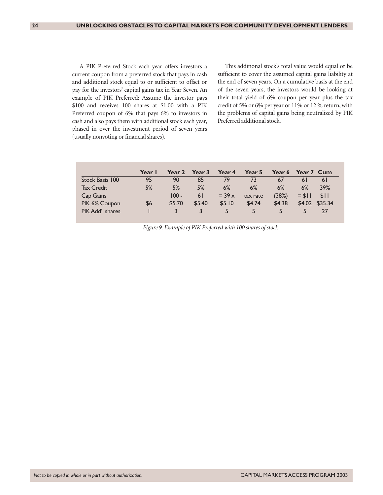A PIK Preferred Stock each year offers investors a current coupon from a preferred stock that pays in cash and additional stock equal to or sufficient to offset or pay for the investors' capital gains tax in Year Seven. An example of PIK Preferred: Assume the investor pays \$100 and receives 100 shares at \$1.00 with a PIK Preferred coupon of 6% that pays 6% to investors in cash and also pays them with additional stock each year, phased in over the investment period of seven years (usually nonvoting or financial shares).

This additional stock's total value would equal or be sufficient to cover the assumed capital gains liability at the end of seven years. On a cumulative basis at the end of the seven years, the investors would be looking at their total yield of 6% coupon per year plus the tax credit of 5% or 6% per year or 11% or 12 % return, with the problems of capital gains being neutralized by PIK Preferred additional stock.

|                   | Year I | Year 2  | Year 3 | Year 4          | Year 5   | Year 6 | Year 7 Cum |         |
|-------------------|--------|---------|--------|-----------------|----------|--------|------------|---------|
| Stock Basis 100   | 95     | 90      | 85     | 79              | 73       | 67     | 6 I        | 6 I     |
| <b>Tax Credit</b> | 5%     | 5%      | 5%     | 6%              | 6%       | 6%     | 6%         | 39%     |
| Cap Gains         |        | $100 -$ | 6 I    | $=$ 39 $\times$ | tax rate | (38%)  | $= $11$    | \$11    |
| PIK 6% Coupon     | \$6    | \$5.70  | \$5.40 | \$5.10          | \$4.74   | \$4.38 | \$4.02\$   | \$35.34 |
| PIK Add'l shares  |        |         |        | 5               | 5        |        |            | 77      |

*Figure 9. Example of PIK Preferred with 100 shares of stock*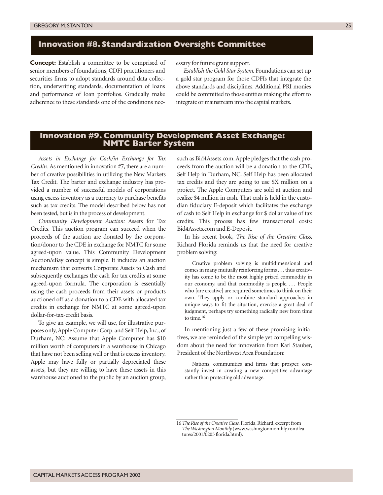#### **Innovation #8. Standardization Oversight Committee**

**Concept:** Establish a committee to be comprised of senior members of foundations, CDFI practitioners and securities firms to adopt standards around data collection, underwriting standards, documentation of loans and performance of loan portfolios. Gradually make adherence to these standards one of the conditions necessary for future grant support.

*Establish the Gold Star System.* Foundations can set up a gold star program for those CDFIs that integrate the above standards and disciplines. Additional PRI monies could be committed to those entities making the effort to integrate or mainstream into the capital markets.

## **Innovation #9. Community Development Asset Exchange: NMTC Barter System**

*Assets in Exchange for Cash/in Exchange for Tax Credits.* As mentioned in innovation #7, there are a number of creative possibilities in utilizing the New Markets Tax Credit. The barter and exchange industry has provided a number of successful models of corporations using excess inventory as a currency to purchase benefits such as tax credits. The model described below has not been tested, but is in the process of development.

*Community Development Auction:* Assets for Tax Credits. This auction program can succeed when the proceeds of the auction are donated by the corporation/donor to the CDE in exchange for NMTC for some agreed-upon value. This Community Development Auction/eBay concept is simple. It includes an auction mechanism that converts Corporate Assets to Cash and subsequently exchanges the cash for tax credits at some agreed-upon formula. The corporation is essentially using the cash proceeds from their assets or products auctioned off as a donation to a CDE with allocated tax credits in exchange for NMTC at some agreed-upon dollar-for-tax-credit basis.

To give an example, we will use, for illustrative purposes only, Apple Computer Corp. and Self Help, Inc., of Durham, NC: Assume that Apple Computer has \$10 million worth of computers in a warehouse in Chicago that have not been selling well or that is excess inventory. Apple may have fully or partially depreciated these assets, but they are willing to have these assets in this warehouse auctioned to the public by an auction group,

such as Bid4Assets.com. Apple pledges that the cash proceeds from the auction will be a donation to the CDE, Self Help in Durham, NC. Self Help has been allocated tax credits and they are going to use \$X million on a project. The Apple Computers are sold at auction and realize \$4 million in cash. That cash is held in the custodian fiduciary E-deposit which facilitates the exchange of cash to Self Help in exchange for \$ dollar value of tax credits. This process has few transactional costs: Bid4Assets.com and E-Deposit.

In his recent book, *The Rise of the Creative Class,* Richard Florida reminds us that the need for creative problem solving:

Creative problem solving is multidimensional and comes in many mutually reinforcing forms . . . thus creativity has come to be the most highly prized commodity in our economy, and that commodity is people. . . . People who [are creative] are required sometimes to think on their own. They apply or combine standard approaches in unique ways to fit the situation, exercise a great deal of judgment, perhaps try something radically new from time to time.16

In mentioning just a few of these promising initiatives, we are reminded of the simple yet compelling wisdom about the need for innovation from Karl Stauber, President of the Northwest Area Foundation:

Nations, communities and firms that prosper, constantly invest in creating a new competitive advantage rather than protecting old advantage.

<sup>16</sup>*The Rise of the Creative Class.* Florida, Richard, excerpt from *The Washington Monthly* (www.washingtonmonthly.com/features/2001/0205 florida.html).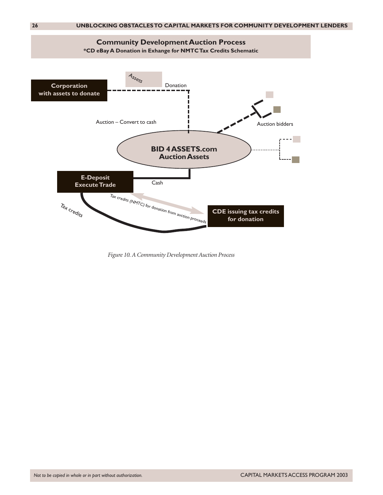

*Figure 10. A Community Development Auction Process*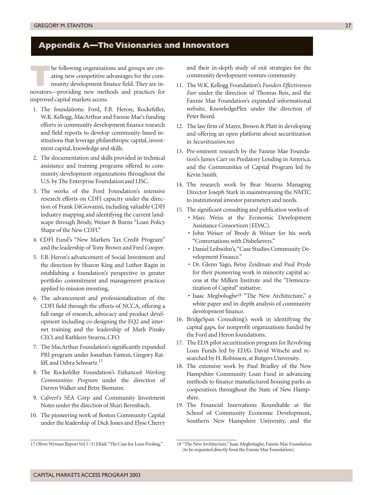# **Appendix A—The Visionaries and Innovators**

**T**he following organizations and groups are creating new competitive advantages for the community development finance field. They are innovators—providing new methods and practices for improved capital markets access.

- 1. The foundations: Ford, F.B. Heron, Rockefeller, W.K. Kellogg, MacArthur and Fannie Mae's funding efforts in community development finance research and field reports to develop community-based institutions that leverage philanthropic capital, investment capital, knowledge and skills.
- 2. The documentation and skills provided in technical assistance and training programs offered to community development organizations throughout the U.S. by The Enterprise Foundation and LISC.
- 3. The works of the Ford Foundation's intensive research efforts on CDFI capacity under the direction of Frank DiGiovanni, including valuable CDFI industry mapping and identifying the current landscape through Brody, Weiser & Burns "Loan Policy Shape of the New CDFI."
- 4. CDFI Fund's "New Markets Tax Credit Program" and the leadership of Tony Brown and Fred Cooper.
- 5. F.B. Heron's advancement of Social Investment and the direction by Sharon King and Luther Ragin in establishing a foundation's perspective in greater portfolio commitment and management practices applied to mission investing,
- 6. The advancement and professionalization of the CDFI field through the efforts of NCCA, offering a full range of research, advocacy and product development including co-designing the EQ2 and internet training and the leadership of Mark Pinsky CEO, and Kathleen Stearns, CFO.
- 7. The MacArthur Foundation's significantly expanded PRI program under Jonathan Fanton, Gregory Ratliff, and Debra Schwartz.<sup>17</sup>
- 8. The Rockefeller Foundation's Enhanced *Working Communities Program* under the direction of Darren Walker and Betsy Biemann.
- 9. Calvert's SEA Corp and Community Investment Notes under the direction of Shari Berenbach.
- 10. The pioneering work of Boston Community Capital under the leadership of Dick Jones and Elyse Cherry

and their in-depth study of exit strategies for the community development venture community.

- 11. The W.K. Kellogg Foundation's *Funders Effectiveness Fair* under the direction of Thomas Reis, and the Fannie Mae Foundation's expanded informational website, KnowledgePlex under the direction of Peter Beard.
- 12. The law firm of Mayer, Brown & Platt in developing and offering an open platform about securitization in *Securitization.net.*
- 13. Pre-eminent research by the Fannie Mae Foundation's James Carr on Predatory Lending in America, and the Communities of Capital Program led by Kevin Smith.
- 14. The research work by Bear Stearns Managing Director Joseph Stark in mainstreaming the NMTC to institutional investor parameters and needs.
- 15. The significant consulting and publication works of:
	- Marc Weiss at the Economic Development Assistance Consortium (EDAC).
	- John Weiser of Brody & Weiser for his work "Conversations with Disbelievers."
	- Daniel Leibsohn's,"Case Studies Community Development Finance."
	- Dr. Glenn Yago, Betsy Zeidman and Paul Pryde for their pioneering work in minority capital access at the Milken Institute and the "Democratization of Capital" initiative.
	- Isaac Megbolugbe18 "The New Architecture," a white paper and in-depth analysis of community development finance.
- 16. BridgeSpan Consulting's work in identifying the capital gaps, for nonprofit organizations funded by the Ford and Heron foundations.
- 17. The EDA pilot securitization program for Revolving Loan Funds led by EDA's David Witschi and researched by H. Robinson, at Rutgers University.
- 18. The extensive work by Paul Bradley of the New Hampshire Community Loan Fund in advancing methods to finance manufactured housing parks as cooperatives throughout the State of New Hampshire.
- 19. The Financial Innovations Roundtable at the School of Community Economic Development, Southern New Hampshire University, and the

<sup>17</sup> Oliver Wyman Report Vol 1 (3) ERisk "The Case for Loan Pooling."

<sup>18 &</sup>quot;The New Architecture," Isaac Megbolugbe, Fannie Mae Foundation (to be requested directly from the Fannie Mae Foundation).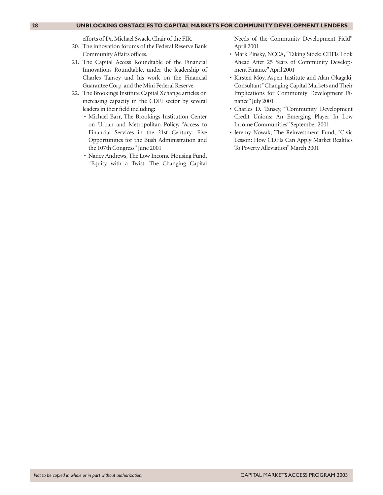#### **28 UNBLOCKING OBSTACLES TO CAPITAL MARKETS FOR COMMUNITY DEVELOPMENT LENDERS**

efforts of Dr. Michael Swack, Chair of the FIR.

- 20. The innovation forums of the Federal Reserve Bank Community Affairs offices.
- 21. The Capital Access Roundtable of the Financial Innovations Roundtable, under the leadership of Charles Tansey and his work on the Financial Guarantee Corp. and the Mini Federal Reserve.
- 22. The Brookings Institute Capital Xchange articles on increasing capacity in the CDFI sector by several leaders in their field including:
	- Michael Barr, The Brookings Institution Center on Urban and Metropolitan Policy, "Access to Financial Services in the 21st Century: Five Opportunities for the Bush Administration and the 107th Congress" June 2001
	- Nancy Andrews, The Low Income Housing Fund, "Equity with a Twist: The Changing Capital

Needs of the Community Development Field" April 2001

- Mark Pinsky, NCCA, "Taking Stock: CDFIs Look Ahead After 25 Years of Community Development Finance"April 2001
- Kirsten Moy, Aspen Institute and Alan Okagaki, Consultant "Changing Capital Markets and Their Implications for Community Development Finance" July 2001
- Charles D. Tansey, "Community Development Credit Unions: An Emerging Player In Low Income Communities" September 2001
- Jeremy Nowak, The Reinvestment Fund, "Civic Lesson: How CDFIs Can Apply Market Realities To Poverty Alleviation" March 2001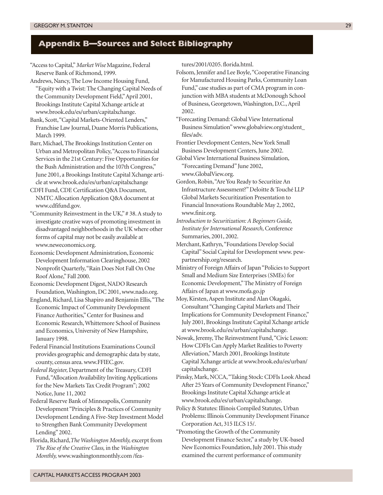# **Appendix B—Sources and Select Bibliography**

"Access to Capital,"*Market Wise* Magazine, Federal Reserve Bank of Richmond, 1999.

Andrews, Nancy, The Low Income Housing Fund, "Equity with a Twist: The Changing Capital Needs of the Community Development Field,"April 2001, Brookings Institute Capital Xchange article at www.brook.edu/es/urban/capitalxchange.

Bank, Scott,"Capital Markets-Oriented Lenders," Franchise Law Journal, Duane Morris Publications, March 1999.

Barr, Michael, The Brookings Institution Center on Urban and Metropolitan Policy,"Access to Financial Services in the 21st Century: Five Opportunities for the Bush Administration and the 107th Congress," June 2001, a Brookings Institute Capital Xchange article at www.brook.edu/es/urban/capitalxchange

CDFI Fund, CDE Certification Q&A Document, NMTC Allocation Application Q&A document at www.cdfifund.gov.

"Community Reinvestment in the UK," # 38. A study to investigate creative ways of promoting investment in disadvantaged neighborhoods in the UK where other forms of capital may not be easily available at www.neweconomics.org.

Economic Development Administration, Economic Development Information Clearinghouse, 2002 Nonprofit Quarterly,"Rain Does Not Fall On One Roof Alone," Fall 2000.

Economic Development Digest, NADO Research Foundation, Washington, DC 2001, www.nado.org.

England, Richard, Lisa Shapiro and Benjamin Ellis,"The Economic Impact of Community Development Finance Authorities," Center for Business and Economic Research, Whittemore School of Business and Economics, University of New Hampshire, January 1998.

Federal Financial Institutions Examinations Council provides geographic and demographic data by state, county, census area. www.FFIEC.gov.

*Federal Register,* Department of the Treasury, CDFI Fund,"Allocation Availability Inviting Applications for the New Markets Tax Credit Program"; 2002 Notice, June 11, 2002

Federal Reserve Bank of Minneapolis, Community Development "Principles & Practices of Community Development Lending A Five-Step Investment Model to Strengthen Bank Community Development Lending" 2002.

Florida, Richard,*The Washington Monthly,* excerpt from *The Rise of the Creative Class,* in the *Washington Monthly,* www.washingtonmonthly.com /features/2001/0205. florida.html.

Folsom, Jennifer and Lee Boyle,"Cooperative Financing for Manufactured Housing Parks, Community Loan Fund," case studies as part of CMA program in conjunction with MBA students at McDonough School of Business, Georgetown, Washington, D.C., April 2002.

"Forecasting Demand: Global View International Business Simulation" www.globalview.org/student\_ files/adv.

Frontier Development Centers, New York Small Business Development Centers, June 2002.

Global View International Business Simulation, "Forecasting Demand" June 2002, www.GlobalView.org.

Gordon, Robin,"Are You Ready to Securitize An Infrastructure Assessment?" Deloitte & Touché LLP Global Markets Securitization Presentation to Financial Innovations Roundtable May 2, 2002, www.finir.org.

*Introduction to Securitization: A Beginners Guide, Institute for International Research,* Conference Summaries, 2001, 2002.

Merchant, Kathryn,"Foundations Develop Social Capital" Social Capital for Development www. pewpartnership.org/research.

Ministry of Foreign Affairs of Japan "Policies to Support Small and Medium Size Enterprises (SMEs) for Economic Development," The Ministry of Foreign Affairs of Japan at www.mofa.go.jp

Moy, Kirsten, Aspen Institute and Alan Okagaki, Consultant "Changing Capital Markets and Their Implications for Community Development Finance," July 2001, Brookings Institute Capital Xchange article at www.brook.edu/es/urban/capitalxchange.

Nowak, Jeremy, The Reinvestment Fund,"Civic Lesson: How CDFIs Can Apply Market Realities to Poverty Alleviation," March 2001, Brookings Institute Capital Xchange article at www.brook.edu/es/urban/ capitalxchange.

Pinsky, Mark, NCCA,"Taking Stock: CDFIs Look Ahead After 25 Years of Community Development Finance," Brookings Institute Capital Xchange article at www.brook.edu/es/urban/capitalxchange.

Policy & Statutes: Illinois Compiled Statutes, Urban Problems: Illinois Community Development Finance Corporation Act, 315 ILCS 15/.

"Promoting the Growth of the Community Development Finance Sector," a study by UK-based New Economics Foundation, July 2001. This study examined the current performance of community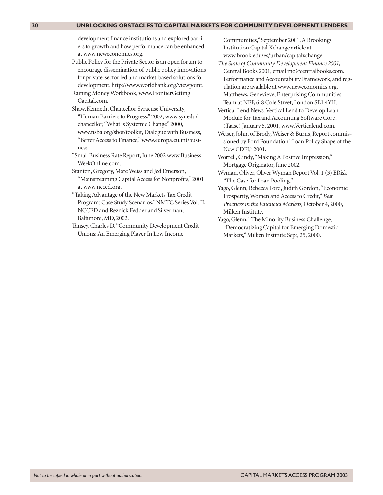#### **30 UNBLOCKING OBSTACLES TO CAPITAL MARKETS FOR COMMUNITY DEVELOPMENT LENDERS**

development finance institutions and explored barriers to growth and how performance can be enhanced at www.neweconomics.org.

- Public Policy for the Private Sector is an open forum to encourage dissemination of public policy innovations for private-sector led and market-based solutions for development. http://www.worldbank.org/viewpoint.
- Raining Money Workbook, www.FrontierGetting Capital.com.

Shaw, Kenneth, Chancellor Syracuse University, "Human Barriers to Progress," 2002, www.syr.edu/ chancellor,"What is Systemic Change" 2000, www.nsba.org/sbot/toolkit, Dialogue with Business, "Better Access to Finance," www.europa.eu.int/business.

"Small Business Rate Report, June 2002 www.Business WeekOnline.com.

- Stanton, Gregory, Marc Weiss and Jed Emerson, "Mainstreaming Capital Access for Nonprofits," 2001 at www.ncced.org.
- "Taking Advantage of the New Markets Tax Credit Program: Case Study Scenarios," NMTC Series Vol. II, NCCED and Reznick Fedder and Silverman, Baltimore, MD, 2002.

Tansey, Charles D."Community Development Credit Unions: An Emerging Player In Low Income

Communities," September 2001, A Brookings Institution Capital Xchange article at www.brook.edu/es/urban/capitalxchange.

*The State of Community Development Finance 2001,* Central Books 2001, email mo@centralbooks.com. Performance and Accountability Framework, and regulation are available at www.neweconomics.org. Matthews, Genevieve, Enterprising Communities Team at NEF, 6-8 Cole Street, London SE1 4YH.

Vertical Lend News: Vertical Lend to Develop Loan Module for Tax and Accounting Software Corp. (Taasc) January 5, 2001, www.Verticalend.com.

Weiser, John, of Brody, Weiser & Burns, Report commissioned by Ford Foundation "Loan Policy Shape of the New CDFI," 2001.

Worrell, Cindy,"Making A Positive Impression," Mortgage Originator, June 2002.

- Wyman, Oliver, Oliver Wyman Report Vol. 1 (3) ERisk "The Case for Loan Pooling."
- Yago, Glenn, Rebecca Ford, Judith Gordon,"Economic Prosperity, Women and Access to Credit,"*Best Practices in the Financial Markets,* October 4, 2000, Milken Institute.

Yago, Glenn,"The Minority Business Challenge, "Democratizing Capital for Emerging Domestic Markets," Milken Institute Sept, 25, 2000.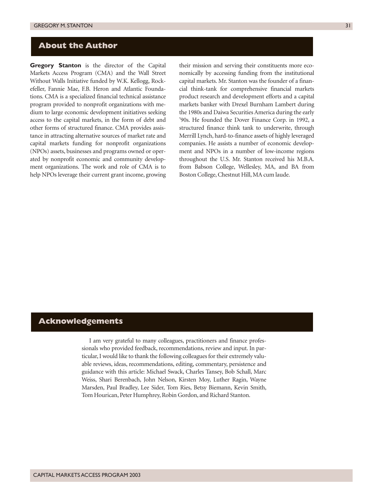# **About the Author**

**Gregory Stanton** is the director of the Capital Markets Access Program (CMA) and the Wall Street Without Walls Initiative funded by W.K. Kellogg, Rockefeller, Fannie Mae, F.B. Heron and Atlantic Foundations. CMA is a specialized financial technical assistance program provided to nonprofit organizations with medium to large economic development initiatives seeking access to the capital markets, in the form of debt and other forms of structured finance. CMA provides assistance in attracting alternative sources of market rate and capital markets funding for nonprofit organizations (NPOs) assets, businesses and programs owned or operated by nonprofit economic and community development organizations. The work and role of CMA is to help NPOs leverage their current grant income, growing

their mission and serving their constituents more economically by accessing funding from the institutional capital markets. Mr. Stanton was the founder of a financial think-tank for comprehensive financial markets product research and development efforts and a capital markets banker with Drexel Burnham Lambert during the 1980s and Daiwa Securities America during the early '90s. He founded the Dover Finance Corp. in 1992, a structured finance think tank to underwrite, through Merrill Lynch, hard-to-finance assets of highly leveraged companies. He assists a number of economic development and NPOs in a number of low-income regions throughout the U.S. Mr. Stanton received his M.B.A. from Babson College, Wellesley, MA, and BA from Boston College, Chestnut Hill, MA cum laude.

#### **Acknowledgements**

I am very grateful to many colleagues, practitioners and finance professionals who provided feedback, recommendations, review and input. In particular, I would like to thank the following colleagues for their extremely valuable reviews, ideas, recommendations, editing, commentary, persistence and guidance with this article: Michael Swack, Charles Tansey, Bob Schall, Marc Weiss, Shari Berenbach, John Nelson, Kirsten Moy, Luther Ragin, Wayne Marsden, Paul Bradley, Lee Sider, Tom Ries, Betsy Biemann, Kevin Smith, Tom Hourican, Peter Humphrey, Robin Gordon, and Richard Stanton.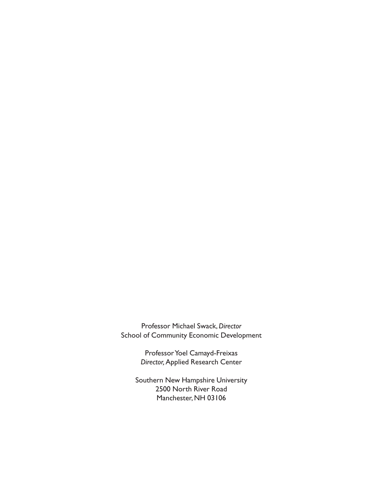Professor Michael Swack,*Director* School of Community Economic Development

> Professor Yoel Camayd-Freixas *Director,*Applied Research Center

Southern New Hampshire University 2500 North River Road Manchester, NH 03106